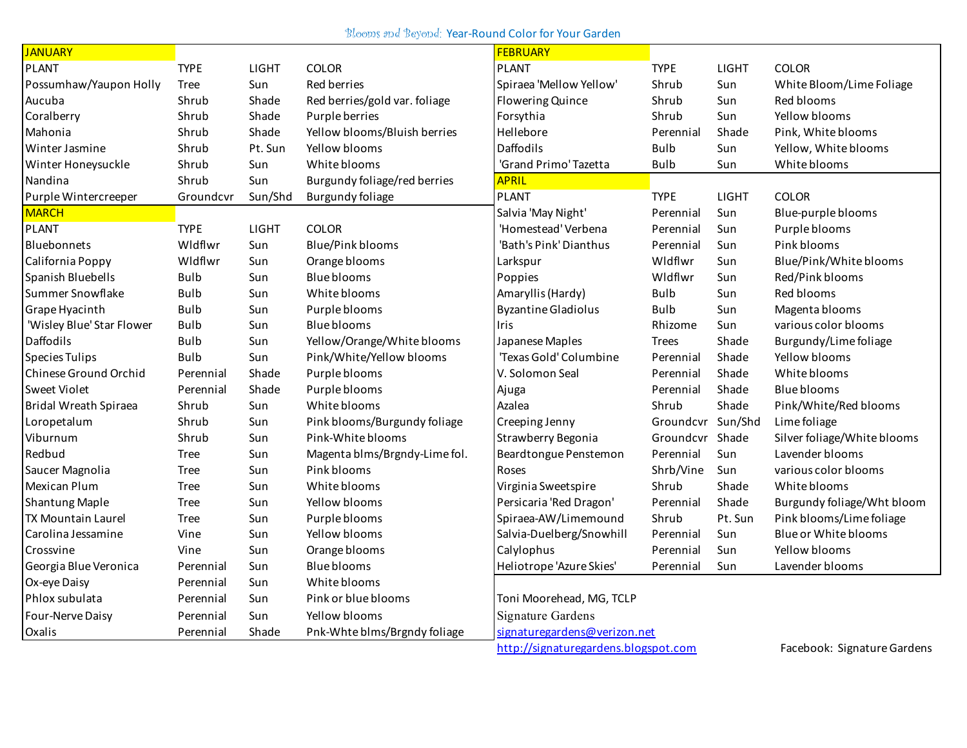## Blooms and Beyond: Year-Round Color for Your Garden

| <b>JANUARY</b>            |             |              |                               | <b>FEBRUARY</b>                      |                   |         |                             |
|---------------------------|-------------|--------------|-------------------------------|--------------------------------------|-------------------|---------|-----------------------------|
| <b>PLANT</b>              | <b>TYPE</b> | <b>LIGHT</b> | <b>COLOR</b>                  | <b>PLANT</b>                         | <b>TYPE</b>       | LIGHT   | <b>COLOR</b>                |
| Possumhaw/Yaupon Holly    | Tree        | Sun          | Red berries                   | Spiraea 'Mellow Yellow'              | Shrub             | Sun     | White Bloom/Lime Foliage    |
| Aucuba                    | Shrub       | Shade        | Red berries/gold var. foliage | <b>Flowering Quince</b>              | Shrub             | Sun     | Red blooms                  |
| Coralberry                | Shrub       | Shade        | Purple berries                | Forsythia                            | Shrub             | Sun     | Yellow blooms               |
| Mahonia                   | Shrub       | Shade        | Yellow blooms/Bluish berries  | Hellebore                            | Perennial         | Shade   | Pink, White blooms          |
| Winter Jasmine            | Shrub       | Pt. Sun      | Yellow blooms                 | <b>Daffodils</b>                     | <b>Bulb</b>       | Sun     | Yellow, White blooms        |
| Winter Honeysuckle        | Shrub       | Sun          | White blooms                  | 'Grand Primo' Tazetta                | <b>Bulb</b>       | Sun     | White blooms                |
| Nandina                   | Shrub       | Sun          | Burgundy foliage/red berries  | <b>APRIL</b>                         |                   |         |                             |
| Purple Wintercreeper      | Groundcvr   | Sun/Shd      | <b>Burgundy foliage</b>       | <b>PLANT</b>                         | <b>TYPE</b>       | LIGHT   | <b>COLOR</b>                |
| <b>MARCH</b>              |             |              |                               | Salvia 'May Night'                   | Perennial         | Sun     | Blue-purple blooms          |
| <b>PLANT</b>              | <b>TYPE</b> | LIGHT        | <b>COLOR</b>                  | 'Homestead' Verbena                  | Perennial         | Sun     | Purple blooms               |
| Bluebonnets               | Wldflwr     | Sun          | <b>Blue/Pink blooms</b>       | 'Bath's Pink' Dianthus               | Perennial         | Sun     | Pink blooms                 |
| California Poppy          | Wldflwr     | Sun          | Orange blooms                 | Larkspur                             | Wldflwr           | Sun     | Blue/Pink/White blooms      |
| Spanish Bluebells         | <b>Bulb</b> | Sun          | <b>Blue blooms</b>            | Poppies                              | Wldflwr           | Sun     | Red/Pink blooms             |
| Summer Snowflake          | <b>Bulb</b> | Sun          | White blooms                  | Amaryllis (Hardy)                    | <b>Bulb</b>       | Sun     | Red blooms                  |
| Grape Hyacinth            | <b>Bulb</b> | Sun          | Purple blooms                 | <b>Byzantine Gladiolus</b>           | <b>Bulb</b>       | Sun     | Magenta blooms              |
| 'Wisley Blue' Star Flower | <b>Bulb</b> | Sun          | <b>Blue blooms</b>            | Iris                                 | Rhizome           | Sun     | various color blooms        |
| Daffodils                 | <b>Bulb</b> | Sun          | Yellow/Orange/White blooms    | Japanese Maples                      | Trees             | Shade   | Burgundy/Lime foliage       |
| <b>Species Tulips</b>     | <b>Bulb</b> | Sun          | Pink/White/Yellow blooms      | 'Texas Gold' Columbine               | Perennial         | Shade   | Yellow blooms               |
| Chinese Ground Orchid     | Perennial   | Shade        | Purple blooms                 | V. Solomon Seal                      | Perennial         | Shade   | White blooms                |
| Sweet Violet              | Perennial   | Shade        | Purple blooms                 | Ajuga                                | Perennial         | Shade   | <b>Blue blooms</b>          |
| Bridal Wreath Spiraea     | Shrub       | Sun          | White blooms                  | Azalea                               | Shrub             | Shade   | Pink/White/Red blooms       |
| Loropetalum               | Shrub       | Sun          | Pink blooms/Burgundy foliage  | Creeping Jenny                       | Groundcvr Sun/Shd |         | Lime foliage                |
| Viburnum                  | Shrub       | Sun          | Pink-White blooms             | Strawberry Begonia                   | Groundcvr         | Shade   | Silver foliage/White blooms |
| Redbud                    | Tree        | Sun          | Magenta blms/Brgndy-Lime fol. | Beardtongue Penstemon                | Perennial         | Sun     | Lavender blooms             |
| Saucer Magnolia           | Tree        | Sun          | Pink blooms                   | Roses                                | Shrb/Vine         | Sun     | various color blooms        |
| <b>Mexican Plum</b>       | Tree        | Sun          | White blooms                  | Virginia Sweetspire                  | Shrub             | Shade   | White blooms                |
| <b>Shantung Maple</b>     | Tree        | Sun          | Yellow blooms                 | Persicaria 'Red Dragon'              | Perennial         | Shade   | Burgundy foliage/Wht bloom  |
| <b>TX Mountain Laurel</b> | Tree        | Sun          | Purple blooms                 | Spiraea-AW/Limemound                 | Shrub             | Pt. Sun | Pink blooms/Lime foliage    |
| Carolina Jessamine        | Vine        | Sun          | Yellow blooms                 | Salvia-Duelberg/Snowhill             | Perennial         | Sun     | Blue or White blooms        |
| Crossvine                 | Vine        | Sun          | Orange blooms                 | Calylophus                           | Perennial         | Sun     | Yellow blooms               |
| Georgia Blue Veronica     | Perennial   | Sun          | <b>Blue blooms</b>            | Heliotrope 'Azure Skies'             | Perennial         | Sun     | Lavender blooms             |
| Ox-eye Daisy              | Perennial   | Sun          | White blooms                  |                                      |                   |         |                             |
| Phlox subulata            | Perennial   | Sun          | Pink or blue blooms           | Toni Moorehead, MG, TCLP             |                   |         |                             |
| Four-Nerve Daisy          | Perennial   | Sun          | Yellow blooms                 | <b>Signature Gardens</b>             |                   |         |                             |
| Oxalis                    | Perennial   | Shade        | Pnk-Whte blms/Brgndy foliage  | signaturegardens@verizon.net         |                   |         |                             |
|                           |             |              |                               | http://signaturegardens.blogspot.com |                   |         | Facebook: Signature Gardens |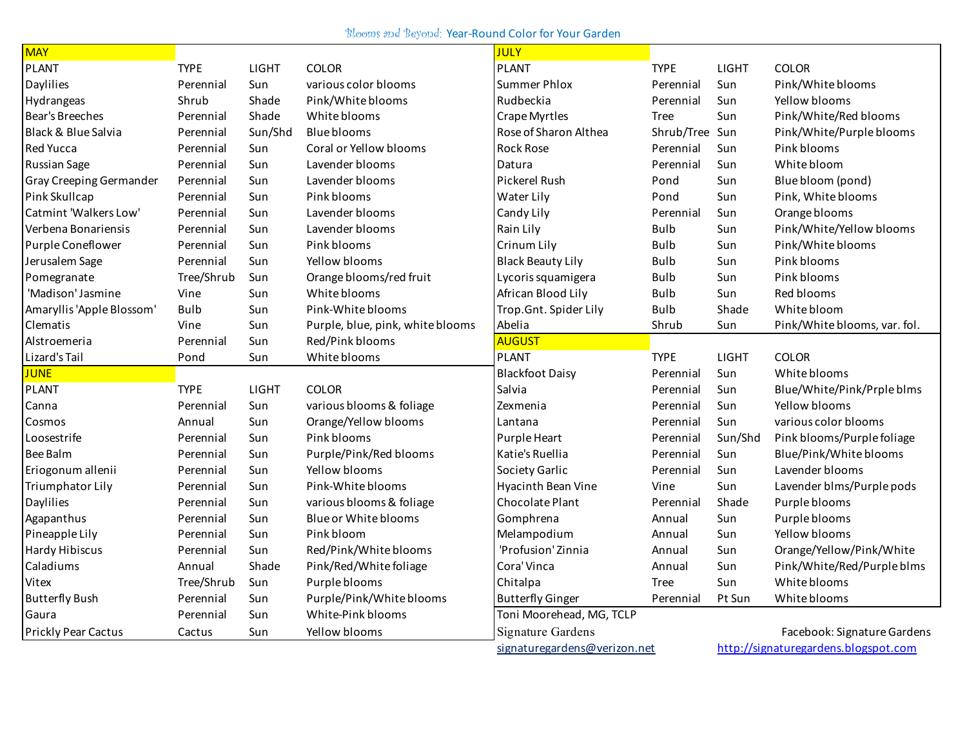Blooms and Beyond: Year-Round Color for Your Garden

| <b>MAY</b>                     |             |         |                                  | <b>JULY</b>                  |             |              |                                      |
|--------------------------------|-------------|---------|----------------------------------|------------------------------|-------------|--------------|--------------------------------------|
| <b>PLANT</b>                   | <b>TYPE</b> | LIGHT   | <b>COLOR</b>                     | <b>PLANT</b>                 | <b>TYPE</b> | LIGHT        | <b>COLOR</b>                         |
| Daylilies                      | Perennial   | Sun     | various color blooms             | <b>Summer Phlox</b>          | Perennial   | Sun          | Pink/White blooms                    |
| Hydrangeas                     | Shrub       | Shade   | Pink/White blooms                | Rudbeckia                    | Perennial   | Sun          | Yellow blooms                        |
| Bear's Breeches                | Perennial   | Shade   | White blooms                     | Crape Myrtles                | Tree        | Sun          | Pink/White/Red blooms                |
| <b>Black &amp; Blue Salvia</b> | Perennial   | Sun/Shd | Blue blooms                      | Rose of Sharon Althea        | Shrub/Tree  | Sun          | Pink/White/Purple blooms             |
| <b>Red Yucca</b>               | Perennial   | Sun     | Coral or Yellow blooms           | Rock Rose                    | Perennial   | Sun          | Pink blooms                          |
| <b>Russian Sage</b>            | Perennial   | Sun     | Lavender blooms                  | Datura                       | Perennial   | Sun          | White bloom                          |
| Gray Creeping Germander        | Perennial   | Sun     | Lavender blooms                  | Pickerel Rush                | Pond        | Sun          | Blue bloom (pond)                    |
| Pink Skullcap                  | Perennial   | Sun     | Pink blooms                      | Water Lily                   | Pond        | Sun          | Pink, White blooms                   |
| Catmint 'Walkers Low'          | Perennial   | Sun     | Lavender blooms                  | Candy Lily                   | Perennial   | Sun          | Orange blooms                        |
| Verbena Bonariensis            | Perennial   | Sun     | Lavender blooms                  | Rain Lily                    | <b>Bulb</b> | Sun          | Pink/White/Yellow blooms             |
| Purple Coneflower              | Perennial   | Sun     | Pink blooms                      | Crinum Lily                  | <b>Bulb</b> | Sun          | Pink/White blooms                    |
| Jerusalem Sage                 | Perennial   | Sun     | Yellow blooms                    | <b>Black Beauty Lily</b>     | <b>Bulb</b> | Sun          | Pink blooms                          |
| Pomegranate                    | Tree/Shrub  | Sun     | Orange blooms/red fruit          | Lycoris squamigera           | <b>Bulb</b> | Sun          | Pink blooms                          |
| 'Madison' Jasmine              | Vine        | Sun     | White blooms                     | African Blood Lily           | <b>Bulb</b> | Sun          | Red blooms                           |
| Amaryllis 'Apple Blossom'      | <b>Bulb</b> | Sun     | Pink-White blooms                | Trop.Gnt. Spider Lily        | Bulb        | Shade        | White bloom                          |
| Clematis                       | Vine        | Sun     | Purple, blue, pink, white blooms | Abelia                       | Shrub       | Sun          | Pink/White blooms, var. fol.         |
| Alstroemeria                   | Perennial   | Sun     | Red/Pink blooms                  | <b>AUGUST</b>                |             |              |                                      |
| Lizard's Tail                  | Pond        | Sun     | White blooms                     | <b>PLANT</b>                 | <b>TYPE</b> | <b>LIGHT</b> | <b>COLOR</b>                         |
| <b>JUNE</b>                    |             |         |                                  | <b>Blackfoot Daisy</b>       | Perennial   | Sun          | White blooms                         |
| <b>PLANT</b>                   | <b>TYPE</b> | LIGHT   | <b>COLOR</b>                     | Salvia                       | Perennial   | Sun          | Blue/White/Pink/Prple blms           |
| Canna                          | Perennial   | Sun     | various blooms & foliage         | Zexmenia                     | Perennial   | Sun          | Yellow blooms                        |
| Cosmos                         | Annual      | Sun     | Orange/Yellow blooms             | Lantana                      | Perennial   | Sun          | various color blooms                 |
| Loosestrife                    | Perennial   | Sun     | Pink blooms                      | Purple Heart                 | Perennial   | Sun/Shd      | Pink blooms/Purple foliage           |
| Bee Balm                       | Perennial   | Sun     | Purple/Pink/Red blooms           | Katie's Ruellia              | Perennial   | Sun          | Blue/Pink/White blooms               |
| Eriogonum allenii              | Perennial   | Sun     | Yellow blooms                    | Society Garlic               | Perennial   | Sun          | Lavender blooms                      |
| Triumphator Lily               | Perennial   | Sun     | Pink-White blooms                | Hyacinth Bean Vine           | Vine        | Sun          | Lavender blms/Purple pods            |
| Daylilies                      | Perennial   | Sun     | various blooms & foliage         | Chocolate Plant              | Perennial   | Shade        | Purple blooms                        |
| Agapanthus                     | Perennial   | Sun     | Blue or White blooms             | Gomphrena                    | Annual      | Sun          | Purple blooms                        |
| Pineapple Lily                 | Perennial   | Sun     | Pink bloom                       | Melampodium                  | Annual      | Sun          | Yellow blooms                        |
| Hardy Hibiscus                 | Perennial   | Sun     | Red/Pink/White blooms            | 'Profusion' Zinnia           | Annual      | Sun          | Orange/Yellow/Pink/White             |
| Caladiums                      | Annual      | Shade   | Pink/Red/White foliage           | Cora' Vinca                  | Annual      | Sun          | Pink/White/Red/Purple blms           |
| Vitex                          | Tree/Shrub  | Sun     | Purple blooms                    | Chitalpa                     | <b>Tree</b> | Sun          | White blooms                         |
| <b>Butterfly Bush</b>          | Perennial   | Sun     | Purple/Pink/White blooms         | <b>Butterfly Ginger</b>      | Perennial   | Pt Sun       | White blooms                         |
| Gaura                          | Perennial   | Sun     | White-Pink blooms                | Toni Moorehead, MG, TCLP     |             |              |                                      |
| <b>Prickly Pear Cactus</b>     | Cactus      | Sun     | Yellow blooms                    | Signature Gardens            |             |              | Facebook: Signature Gardens          |
|                                |             |         |                                  | signaturegardens@verizon.net |             |              | http://signaturegardens.blogspot.com |